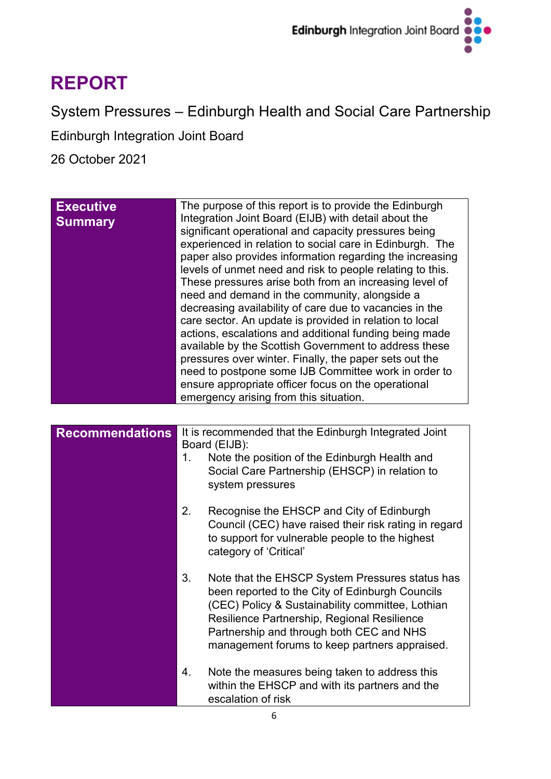

# **REPORT**

System Pressures – Edinburgh Health and Social Care Partnership

Edinburgh Integration Joint Board

26 October 2021

| <b>Executive</b><br><b>Summary</b> | The purpose of this report is to provide the Edinburgh<br>Integration Joint Board (EIJB) with detail about the<br>significant operational and capacity pressures being<br>experienced in relation to social care in Edinburgh. The<br>paper also provides information regarding the increasing<br>levels of unmet need and risk to people relating to this.<br>These pressures arise both from an increasing level of<br>need and demand in the community, alongside a<br>decreasing availability of care due to vacancies in the<br>care sector. An update is provided in relation to local<br>actions, escalations and additional funding being made<br>available by the Scottish Government to address these<br>pressures over winter. Finally, the paper sets out the<br>need to postpone some IJB Committee work in order to<br>ensure appropriate officer focus on the operational |
|------------------------------------|------------------------------------------------------------------------------------------------------------------------------------------------------------------------------------------------------------------------------------------------------------------------------------------------------------------------------------------------------------------------------------------------------------------------------------------------------------------------------------------------------------------------------------------------------------------------------------------------------------------------------------------------------------------------------------------------------------------------------------------------------------------------------------------------------------------------------------------------------------------------------------------|
|                                    | emergency arising from this situation.                                                                                                                                                                                                                                                                                                                                                                                                                                                                                                                                                                                                                                                                                                                                                                                                                                                   |

| <b>Recommendations</b> | 1. | It is recommended that the Edinburgh Integrated Joint<br>Board (EIJB):<br>Note the position of the Edinburgh Health and<br>Social Care Partnership (EHSCP) in relation to<br>system pressures                                                                                                      |
|------------------------|----|----------------------------------------------------------------------------------------------------------------------------------------------------------------------------------------------------------------------------------------------------------------------------------------------------|
|                        | 2. | Recognise the EHSCP and City of Edinburgh<br>Council (CEC) have raised their risk rating in regard<br>to support for vulnerable people to the highest<br>category of 'Critical'                                                                                                                    |
|                        | 3. | Note that the EHSCP System Pressures status has<br>been reported to the City of Edinburgh Councils<br>(CEC) Policy & Sustainability committee, Lothian<br>Resilience Partnership, Regional Resilience<br>Partnership and through both CEC and NHS<br>management forums to keep partners appraised. |
|                        | 4. | Note the measures being taken to address this<br>within the EHSCP and with its partners and the<br>escalation of risk                                                                                                                                                                              |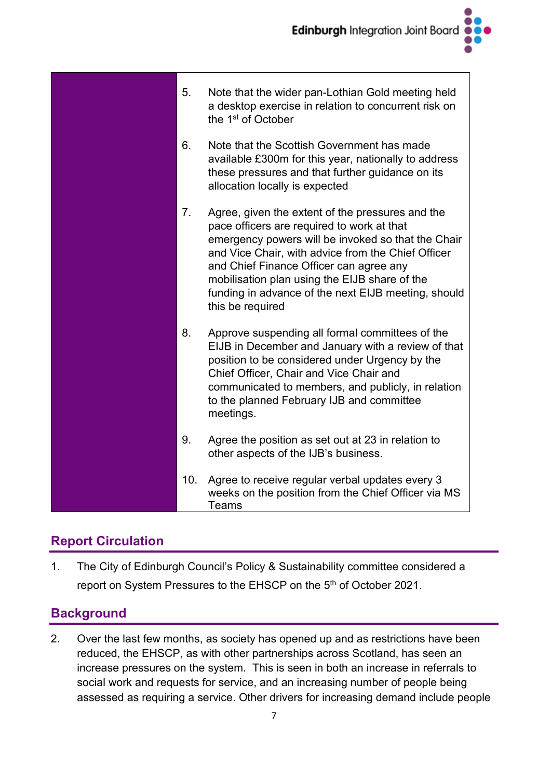

# **Report Circulation**

1. The City of Edinburgh Council's Policy & Sustainability committee considered a report on System Pressures to the EHSCP on the 5<sup>th</sup> of October 2021.

# **Background**

2. Over the last few months, as society has opened up and as restrictions have been reduced, the EHSCP, as with other partnerships across Scotland, has seen an increase pressures on the system. This is seen in both an increase in referrals to social work and requests for service, and an increasing number of people being assessed as requiring a service. Other drivers for increasing demand include people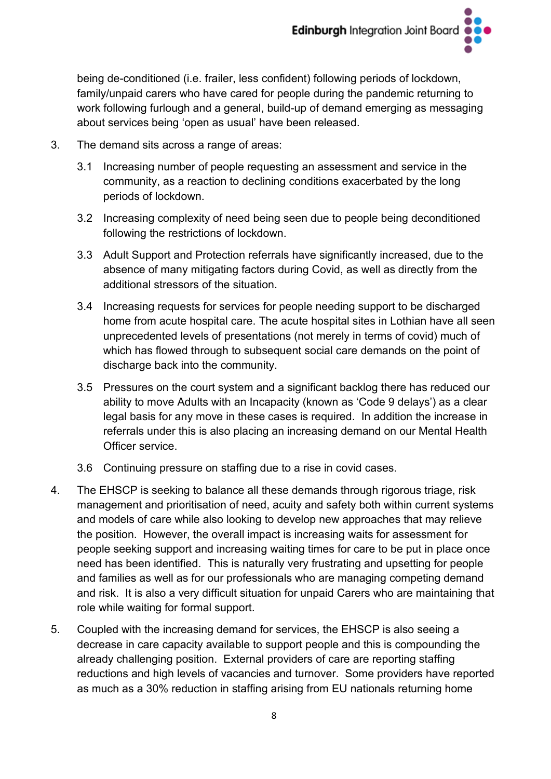being de-conditioned (i.e. frailer, less confident) following periods of lockdown, family/unpaid carers who have cared for people during the pandemic returning to work following furlough and a general, build-up of demand emerging as messaging about services being 'open as usual' have been released.

- 3. The demand sits across a range of areas:
	- 3.1 Increasing number of people requesting an assessment and service in the community, as a reaction to declining conditions exacerbated by the long periods of lockdown.
	- 3.2 Increasing complexity of need being seen due to people being deconditioned following the restrictions of lockdown.
	- 3.3 Adult Support and Protection referrals have significantly increased, due to the absence of many mitigating factors during Covid, as well as directly from the additional stressors of the situation.
	- 3.4 Increasing requests for services for people needing support to be discharged home from acute hospital care. The acute hospital sites in Lothian have all seen unprecedented levels of presentations (not merely in terms of covid) much of which has flowed through to subsequent social care demands on the point of discharge back into the community.
	- 3.5 Pressures on the court system and a significant backlog there has reduced our ability to move Adults with an Incapacity (known as 'Code 9 delays') as a clear legal basis for any move in these cases is required. In addition the increase in referrals under this is also placing an increasing demand on our Mental Health Officer service.
	- 3.6 Continuing pressure on staffing due to a rise in covid cases.
- 4. The EHSCP is seeking to balance all these demands through rigorous triage, risk management and prioritisation of need, acuity and safety both within current systems and models of care while also looking to develop new approaches that may relieve the position. However, the overall impact is increasing waits for assessment for people seeking support and increasing waiting times for care to be put in place once need has been identified. This is naturally very frustrating and upsetting for people and families as well as for our professionals who are managing competing demand and risk. It is also a very difficult situation for unpaid Carers who are maintaining that role while waiting for formal support.
- 5. Coupled with the increasing demand for services, the EHSCP is also seeing a decrease in care capacity available to support people and this is compounding the already challenging position. External providers of care are reporting staffing reductions and high levels of vacancies and turnover. Some providers have reported as much as a 30% reduction in staffing arising from EU nationals returning home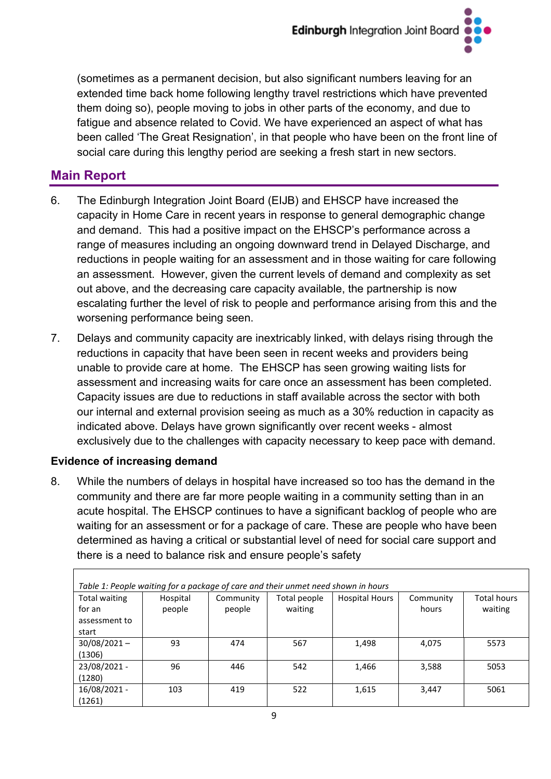(sometimes as a permanent decision, but also significant numbers leaving for an extended time back home following lengthy travel restrictions which have prevented them doing so), people moving to jobs in other parts of the economy, and due to fatigue and absence related to Covid. We have experienced an aspect of what has been called 'The Great Resignation', in that people who have been on the front line of social care during this lengthy period are seeking a fresh start in new sectors.

# **Main Report**

- 6. The Edinburgh Integration Joint Board (EIJB) and EHSCP have increased the capacity in Home Care in recent years in response to general demographic change and demand. This had a positive impact on the EHSCP's performance across a range of measures including an ongoing downward trend in Delayed Discharge, and reductions in people waiting for an assessment and in those waiting for care following an assessment. However, given the current levels of demand and complexity as set out above, and the decreasing care capacity available, the partnership is now escalating further the level of risk to people and performance arising from this and the worsening performance being seen.
- 7. Delays and community capacity are inextricably linked, with delays rising through the reductions in capacity that have been seen in recent weeks and providers being unable to provide care at home. The EHSCP has seen growing waiting lists for assessment and increasing waits for care once an assessment has been completed. Capacity issues are due to reductions in staff available across the sector with both our internal and external provision seeing as much as a 30% reduction in capacity as indicated above. Delays have grown significantly over recent weeks - almost exclusively due to the challenges with capacity necessary to keep pace with demand.

### **Evidence of increasing demand**

8. While the numbers of delays in hospital have increased so too has the demand in the community and there are far more people waiting in a community setting than in an acute hospital. The EHSCP continues to have a significant backlog of people who are waiting for an assessment or for a package of care. These are people who have been determined as having a critical or substantial level of need for social care support and there is a need to balance risk and ensure people's safety

| Table 1: People waiting for a package of care and their unmet need shown in hours |                    |                     |                         |                       |                    |                               |
|-----------------------------------------------------------------------------------|--------------------|---------------------|-------------------------|-----------------------|--------------------|-------------------------------|
| Total waiting<br>for an<br>assessment to<br>start                                 | Hospital<br>people | Community<br>people | Total people<br>waiting | <b>Hospital Hours</b> | Community<br>hours | <b>Total hours</b><br>waiting |
| $30/08/2021 -$<br>(1306)                                                          | 93                 | 474                 | 567                     | 1,498                 | 4.075              | 5573                          |
| 23/08/2021 -<br>(1280)                                                            | 96                 | 446                 | 542                     | 1,466                 | 3,588              | 5053                          |
| 16/08/2021 -<br>(1261)                                                            | 103                | 419                 | 522                     | 1,615                 | 3,447              | 5061                          |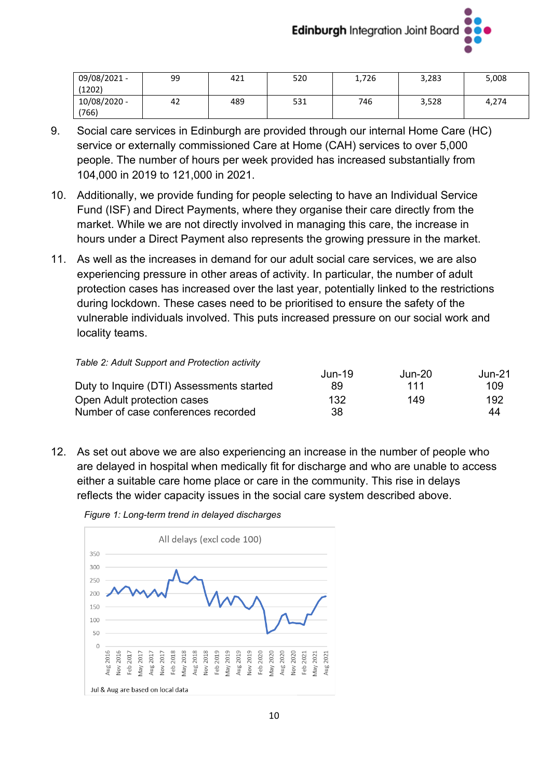

| 09/08/2021 -<br>(1202) | 99 | 421 | 520 | 1,726 | 3,283 | 5,008 |
|------------------------|----|-----|-----|-------|-------|-------|
| 10/08/2020 -<br>(766)  | 42 | 489 | 531 | 746   | 3,528 | 4,274 |

- 9. Social care services in Edinburgh are provided through our internal Home Care (HC) service or externally commissioned Care at Home (CAH) services to over 5,000 people. The number of hours per week provided has increased substantially from 104,000 in 2019 to 121,000 in 2021.
- 10. Additionally, we provide funding for people selecting to have an Individual Service Fund (ISF) and Direct Payments, where they organise their care directly from the market. While we are not directly involved in managing this care, the increase in hours under a Direct Payment also represents the growing pressure in the market.
- 11. As well as the increases in demand for our adult social care services, we are also experiencing pressure in other areas of activity. In particular, the number of adult protection cases has increased over the last year, potentially linked to the restrictions during lockdown. These cases need to be prioritised to ensure the safety of the vulnerable individuals involved. This puts increased pressure on our social work and locality teams.

#### *Table 2: Adult Support and Protection activity*

|     |     | Jun-21             |
|-----|-----|--------------------|
| 89  | 111 | 109                |
| 132 | 149 | 192                |
| 38  |     | 44                 |
|     |     | Jun-19<br>$Jun-20$ |

12. As set out above we are also experiencing an increase in the number of people who are delayed in hospital when medically fit for discharge and who are unable to access either a suitable care home place or care in the community. This rise in delays reflects the wider capacity issues in the social care system described above.



*Figure 1: Long-term trend in delayed discharges*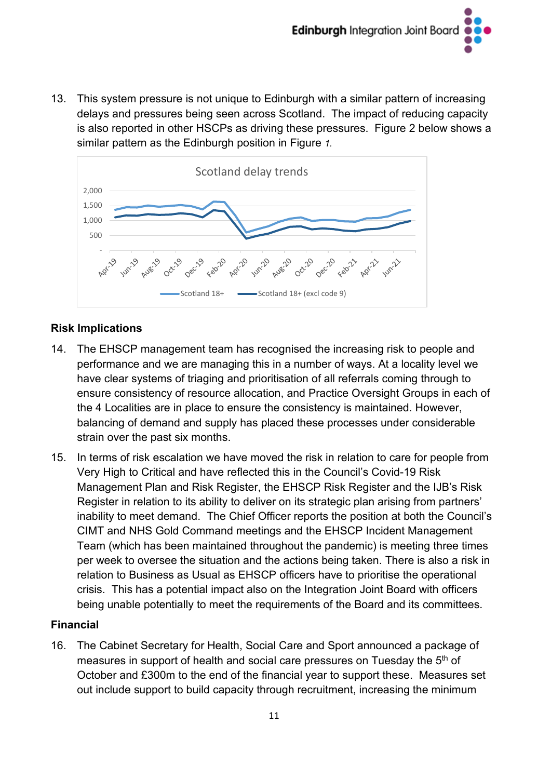

13. This system pressure is not unique to Edinburgh with a similar pattern of increasing delays and pressures being seen across Scotland. The impact of reducing capacity is also reported in other HSCPs as driving these pressures. Figure 2 below shows a similar pattern as the Edinburgh position in Figure *1.*



### **Risk Implications**

- 14. The EHSCP management team has recognised the increasing risk to people and performance and we are managing this in a number of ways. At a locality level we have clear systems of triaging and prioritisation of all referrals coming through to ensure consistency of resource allocation, and Practice Oversight Groups in each of the 4 Localities are in place to ensure the consistency is maintained. However, balancing of demand and supply has placed these processes under considerable strain over the past six months.
- 15. In terms of risk escalation we have moved the risk in relation to care for people from Very High to Critical and have reflected this in the Council's Covid-19 Risk Management Plan and Risk Register, the EHSCP Risk Register and the IJB's Risk Register in relation to its ability to deliver on its strategic plan arising from partners' inability to meet demand. The Chief Officer reports the position at both the Council's CIMT and NHS Gold Command meetings and the EHSCP Incident Management Team (which has been maintained throughout the pandemic) is meeting three times per week to oversee the situation and the actions being taken. There is also a risk in relation to Business as Usual as EHSCP officers have to prioritise the operational crisis. This has a potential impact also on the Integration Joint Board with officers being unable potentially to meet the requirements of the Board and its committees.

### **Financial**

16. The Cabinet Secretary for Health, Social Care and Sport announced a package of measures in support of health and social care pressures on Tuesday the 5<sup>th</sup> of October and £300m to the end of the financial year to support these. Measures set out include support to build capacity through recruitment, increasing the minimum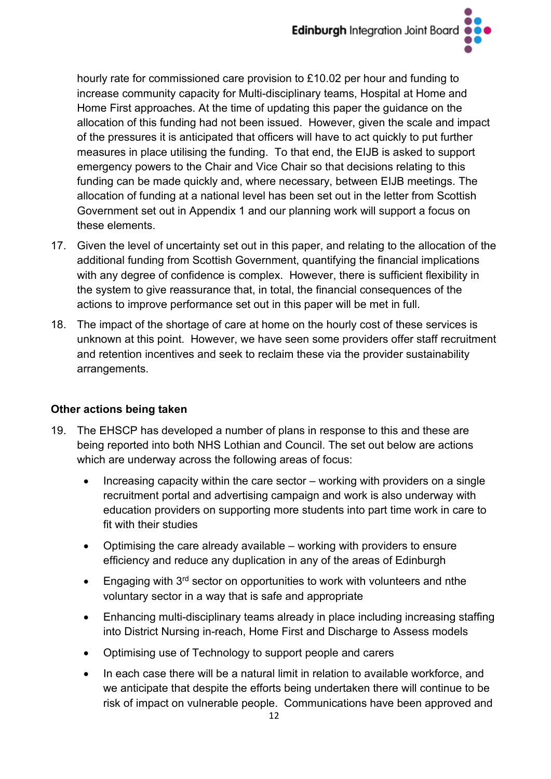hourly rate for commissioned care provision to £10.02 per hour and funding to increase community capacity for Multi-disciplinary teams, Hospital at Home and Home First approaches. At the time of updating this paper the guidance on the allocation of this funding had not been issued. However, given the scale and impact of the pressures it is anticipated that officers will have to act quickly to put further measures in place utilising the funding. To that end, the EIJB is asked to support emergency powers to the Chair and Vice Chair so that decisions relating to this funding can be made quickly and, where necessary, between EIJB meetings. The allocation of funding at a national level has been set out in the letter from Scottish Government set out in Appendix 1 and our planning work will support a focus on these elements.

- 17. Given the level of uncertainty set out in this paper, and relating to the allocation of the additional funding from Scottish Government, quantifying the financial implications with any degree of confidence is complex. However, there is sufficient flexibility in the system to give reassurance that, in total, the financial consequences of the actions to improve performance set out in this paper will be met in full.
- 18. The impact of the shortage of care at home on the hourly cost of these services is unknown at this point. However, we have seen some providers offer staff recruitment and retention incentives and seek to reclaim these via the provider sustainability arrangements.

### **Other actions being taken**

- 19. The EHSCP has developed a number of plans in response to this and these are being reported into both NHS Lothian and Council. The set out below are actions which are underway across the following areas of focus:
	- Increasing capacity within the care sector working with providers on a single recruitment portal and advertising campaign and work is also underway with education providers on supporting more students into part time work in care to fit with their studies
	- Optimising the care already available working with providers to ensure efficiency and reduce any duplication in any of the areas of Edinburgh
	- Engaging with 3<sup>rd</sup> sector on opportunities to work with volunteers and nthe voluntary sector in a way that is safe and appropriate
	- Enhancing multi-disciplinary teams already in place including increasing staffing into District Nursing in-reach, Home First and Discharge to Assess models
	- Optimising use of Technology to support people and carers
	- In each case there will be a natural limit in relation to available workforce, and we anticipate that despite the efforts being undertaken there will continue to be risk of impact on vulnerable people. Communications have been approved and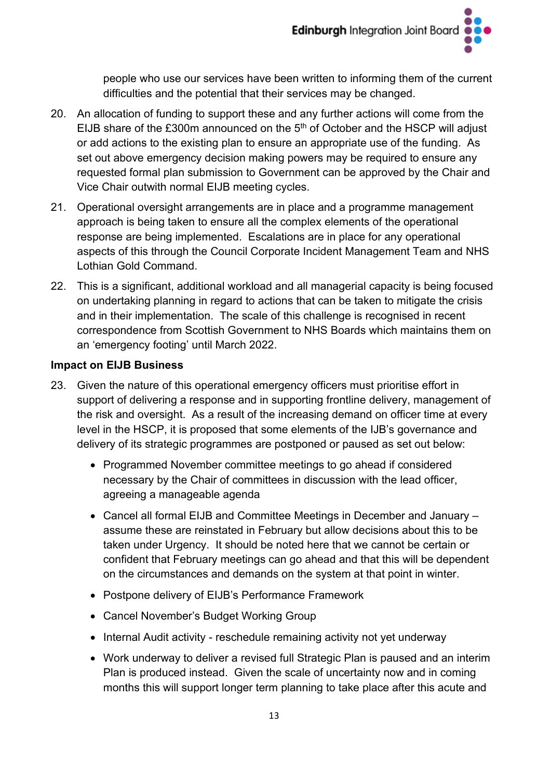people who use our services have been written to informing them of the current difficulties and the potential that their services may be changed.

- 20. An allocation of funding to support these and any further actions will come from the EIJB share of the  $£300m$  announced on the  $5<sup>th</sup>$  of October and the HSCP will adjust or add actions to the existing plan to ensure an appropriate use of the funding. As set out above emergency decision making powers may be required to ensure any requested formal plan submission to Government can be approved by the Chair and Vice Chair outwith normal EIJB meeting cycles.
- 21. Operational oversight arrangements are in place and a programme management approach is being taken to ensure all the complex elements of the operational response are being implemented. Escalations are in place for any operational aspects of this through the Council Corporate Incident Management Team and NHS Lothian Gold Command.
- 22. This is a significant, additional workload and all managerial capacity is being focused on undertaking planning in regard to actions that can be taken to mitigate the crisis and in their implementation. The scale of this challenge is recognised in recent correspondence from Scottish Government to NHS Boards which maintains them on an 'emergency footing' until March 2022.

### **Impact on EIJB Business**

- 23. Given the nature of this operational emergency officers must prioritise effort in support of delivering a response and in supporting frontline delivery, management of the risk and oversight. As a result of the increasing demand on officer time at every level in the HSCP, it is proposed that some elements of the IJB's governance and delivery of its strategic programmes are postponed or paused as set out below:
	- Programmed November committee meetings to go ahead if considered necessary by the Chair of committees in discussion with the lead officer, agreeing a manageable agenda
	- Cancel all formal EIJB and Committee Meetings in December and January assume these are reinstated in February but allow decisions about this to be taken under Urgency. It should be noted here that we cannot be certain or confident that February meetings can go ahead and that this will be dependent on the circumstances and demands on the system at that point in winter.
	- Postpone delivery of EIJB's Performance Framework
	- Cancel November's Budget Working Group
	- Internal Audit activity reschedule remaining activity not yet underway
	- Work underway to deliver a revised full Strategic Plan is paused and an interim Plan is produced instead. Given the scale of uncertainty now and in coming months this will support longer term planning to take place after this acute and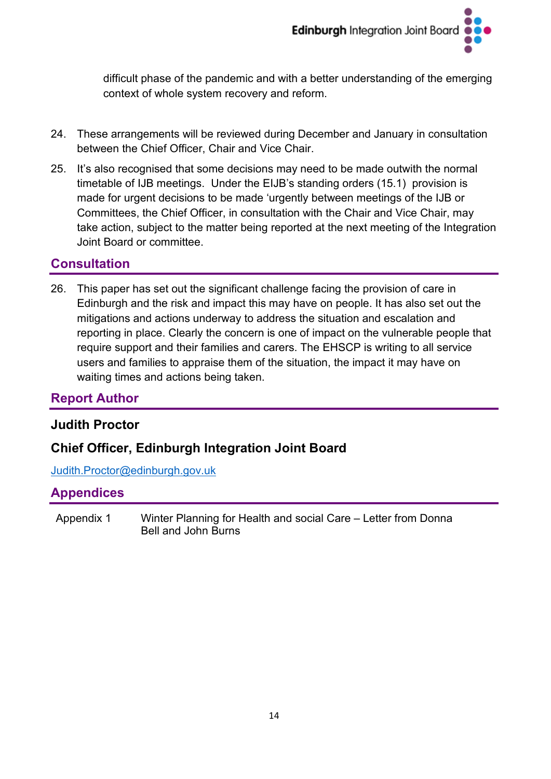difficult phase of the pandemic and with a better understanding of the emerging context of whole system recovery and reform.

- 24. These arrangements will be reviewed during December and January in consultation between the Chief Officer, Chair and Vice Chair.
- 25. It's also recognised that some decisions may need to be made outwith the normal timetable of IJB meetings. Under the EIJB's standing orders (15.1) provision is made for urgent decisions to be made 'urgently between meetings of the IJB or Committees, the Chief Officer, in consultation with the Chair and Vice Chair, may take action, subject to the matter being reported at the next meeting of the Integration Joint Board or committee.

# **Consultation**

26. This paper has set out the significant challenge facing the provision of care in Edinburgh and the risk and impact this may have on people. It has also set out the mitigations and actions underway to address the situation and escalation and reporting in place. Clearly the concern is one of impact on the vulnerable people that require support and their families and carers. The EHSCP is writing to all service users and families to appraise them of the situation, the impact it may have on waiting times and actions being taken.

# **Report Author**

### **Judith Proctor**

# **Chief Officer, Edinburgh Integration Joint Board**

[Judith.Proctor@edinburgh.gov.uk](mailto:Judith.Proctor@edinburgh.gov.uk)

### **Appendices**

Appendix 1 Winter Planning for Health and social Care – Letter from Donna Bell and John Burns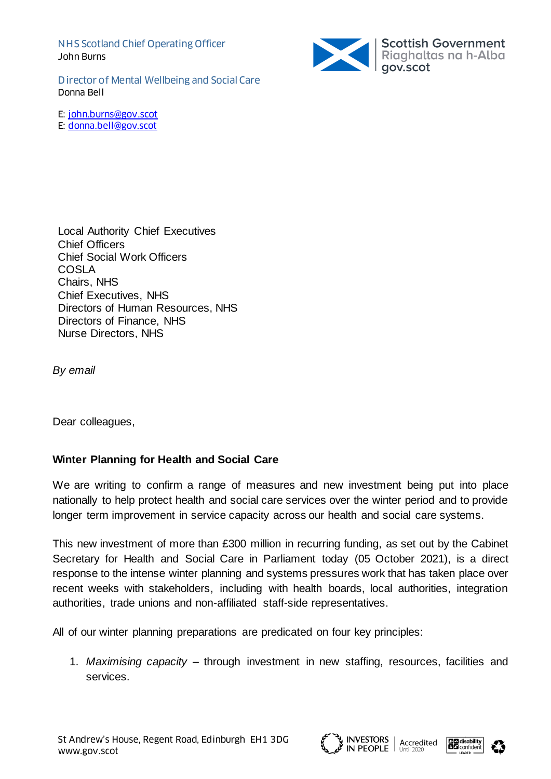NHS Scotland Chief Operating Officer John Burns



Director of Mental Wellbeing and Social Care Donna Bell

E: [john.burns@gov.scot](mailto:john.burns@gov.scot)

E: [donna.bell@gov.scot](mailto:donna.bell@gov.scot)

Local Authority Chief Executives Chief Officers Chief Social Work Officers COSLA Chairs, NHS Chief Executives, NHS Directors of Human Resources, NHS Directors of Finance, NHS Nurse Directors, NHS

**By email** 

Dear colleagues,

#### **Winter Planning for Health and Social Care**

We are writing to confirm a range of measures and new investment being put into place nationally to help protect health and social care services over the winter period and to provide longer term improvement in service capacity across our health and social care systems.

This new investment of more than £300 million in recurring funding, as set out by the Cabinet Secretary for Health and Social Care in Parliament today (05 October 2021), is a direct response to the intense winter planning and systems pressures work that has taken place over recent weeks with stakeholders, including with health boards, local authorities, integration authorities, trade unions and non-affiliated staff-side representatives.

All of our winter planning preparations are predicated on four key principles:

1. *Maximising capacity* – through investment in new staffing, resources, facilities and services.





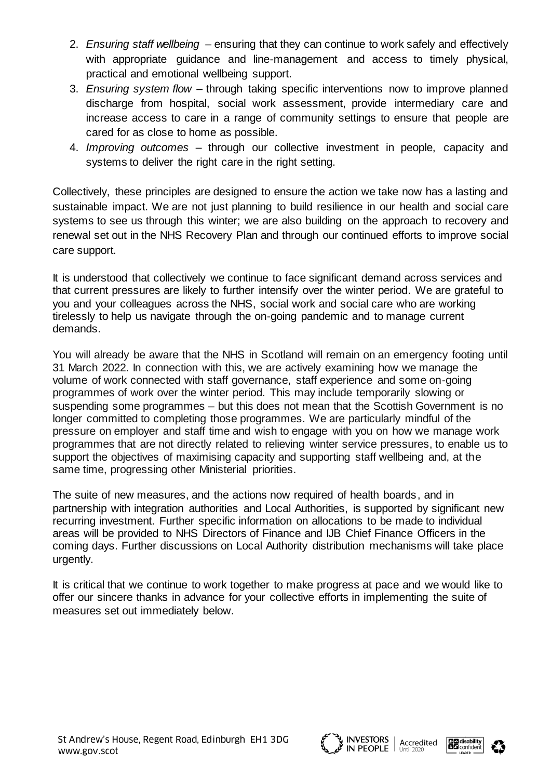- 2. *Ensuring staff wellbeing* ensuring that they can continue to work safely and effectively with appropriate quidance and line-management and access to timely physical, practical and emotional wellbeing support.
- 3. *Ensuring system flow* through taking specific interventions now to improve planned discharge from hospital, social work assessment, provide intermediary care and increase access to care in a range of community settings to ensure that people are cared for as close to home as possible.
- 4. *Improving outcomes* through our collective investment in people, capacity and systems to deliver the right care in the right setting.

Collectively, these principles are designed to ensure the action we take now has a lasting and sustainable impact. We are not just planning to build resilience in our health and social care systems to see us through this winter; we are also building on the approach to recovery and renewal set out in the NHS Recovery Plan and through our continued efforts to improve social care support.

It is understood that collectively we continue to face significant demand across services and that current pressures are likely to further intensify over the winter period. We are grateful to you and your colleagues across the NHS, social work and social care who are working tirelessly to help us navigate through the on-going pandemic and to manage current demands.

You will already be aware that the NHS in Scotland will remain on an emergency footing until 31 March 2022. In connection with this, we are actively examining how we manage the volume of work connected with staff governance, staff experience and some on-going programmes of work over the winter period. This may include temporarily slowing or suspending some programmes – but this does not mean that the Scottish Government is no longer committed to completing those programmes. We are particularly mindful of the pressure on employer and staff time and wish to engage with you on how we manage work programmes that are not directly related to relieving winter service pressures, to enable us to support the objectives of maximising capacity and supporting staff wellbeing and, at the same time, progressing other Ministerial priorities.

The suite of new measures, and the actions now required of health boards, and in partnership with integration authorities and Local Authorities, is supported by significant new recurring investment. Further specific information on allocations to be made to individual areas will be provided to NHS Directors of Finance and IJB Chief Finance Officers in the coming days. Further discussions on Local Authority distribution mechanisms will take place urgently.

It is critical that we continue to work together to make progress at pace and we would like to offer our sincere thanks in advance for your collective efforts in implementing the suite of measures set out immediately below.





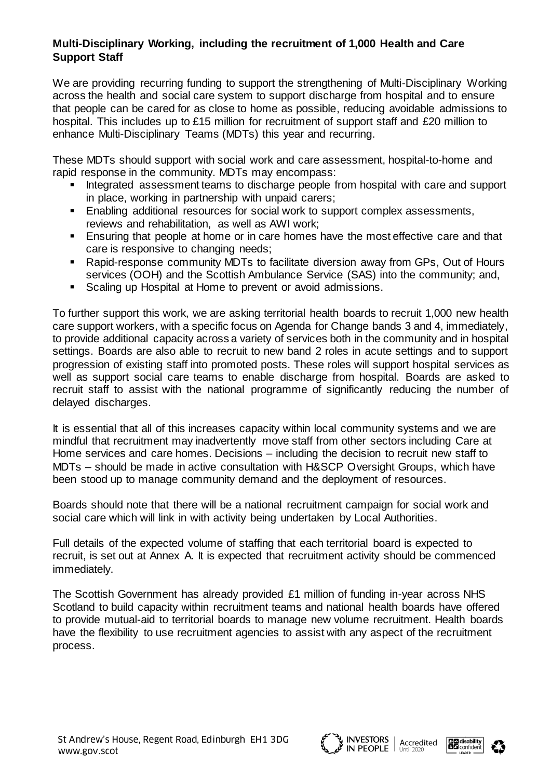### **Multi-Disciplinary Working, including the recruitment of 1,000 Health and Care Support Staff**

We are providing recurring funding to support the strengthening of Multi-Disciplinary Working across the health and social care system to support discharge from hospital and to ensure that people can be cared for as close to home as possible, reducing avoidable admissions to hospital. This includes up to £15 million for recruitment of support staff and £20 million to enhance Multi-Disciplinary Teams (MDTs) this year and recurring.

These MDTs should support with social work and care assessment, hospital-to-home and rapid response in the community. MDTs may encompass:

- **Integrated assessment teams to discharge people from hospital with care and support** in place, working in partnership with unpaid carers;
- **Enabling additional resources for social work to support complex assessments,** reviews and rehabilitation, as well as AWI work;
- Ensuring that people at home or in care homes have the most effective care and that care is responsive to changing needs;
- Rapid-response community MDTs to facilitate diversion away from GPs, Out of Hours services (OOH) and the Scottish Ambulance Service (SAS) into the community; and,
- **Scaling up Hospital at Home to prevent or avoid admissions.**

To further support this work, we are asking territorial health boards to recruit 1,000 new health care support workers, with a specific focus on Agenda for Change bands 3 and 4, immediately, to provide additional capacity across a variety of services both in the community and in hospital settings. Boards are also able to recruit to new band 2 roles in acute settings and to support progression of existing staff into promoted posts. These roles will support hospital services as well as support social care teams to enable discharge from hospital. Boards are asked to recruit staff to assist with the national programme of significantly reducing the number of delayed discharges.

It is essential that all of this increases capacity within local community systems and we are mindful that recruitment may inadvertently move staff from other sectors including Care at Home services and care homes. Decisions – including the decision to recruit new staff to MDTs – should be made in active consultation with H&SCP Oversight Groups, which have been stood up to manage community demand and the deployment of resources.

Boards should note that there will be a national recruitment campaign for social work and social care which will link in with activity being undertaken by Local Authorities.

Full details of the expected volume of staffing that each territorial board is expected to recruit, is set out at Annex A. It is expected that recruitment activity should be commenced immediately.

The Scottish Government has already provided £1 million of funding in-year across NHS Scotland to build capacity within recruitment teams and national health boards have offered to provide mutual-aid to territorial boards to manage new volume recruitment. Health boards have the flexibility to use recruitment agencies to assist with any aspect of the recruitment process.





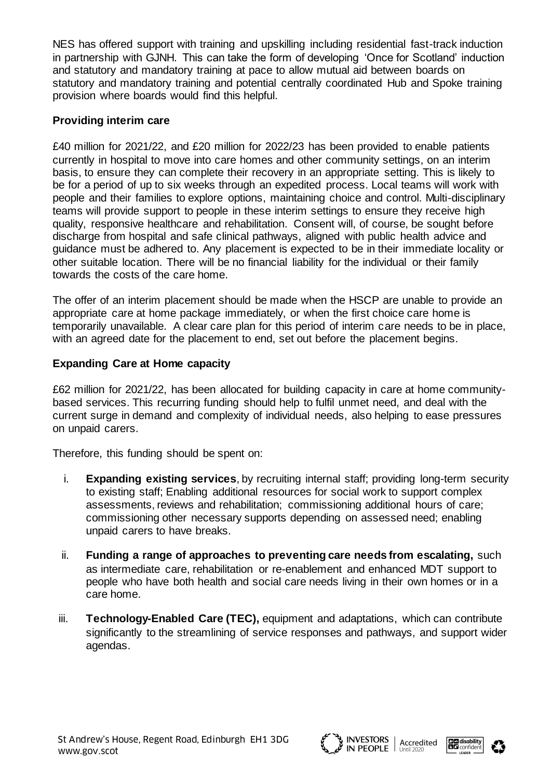NES has offered support with training and upskilling including residential fast-track induction in partnership with GJNH. This can take the form of developing 'Once for Scotland' induction and statutory and mandatory training at pace to allow mutual aid between boards on statutory and mandatory training and potential centrally coordinated Hub and Spoke training provision where boards would find this helpful.

#### **Providing interim care**

£40 million for 2021/22, and £20 million for 2022/23 has been provided to enable patients currently in hospital to move into care homes and other community settings, on an interim basis, to ensure they can complete their recovery in an appropriate setting. This is likely to be for a period of up to six weeks through an expedited process. Local teams will work with people and their families to explore options, maintaining choice and control. Multi-disciplinary teams will provide support to people in these interim settings to ensure they receive high quality, responsive healthcare and rehabilitation. Consent will, of course, be sought before discharge from hospital and safe clinical pathways, aligned with public health advice and guidance must be adhered to. Any placement is expected to be in their immediate locality or other suitable location. There will be no financial liability for the individual or their family towards the costs of the care home.

The offer of an interim placement should be made when the HSCP are unable to provide an appropriate care at home package immediately, or when the first choice care home is temporarily unavailable. A clear care plan for this period of interim care needs to be in place, with an agreed date for the placement to end, set out before the placement begins.

#### **Expanding Care at Home capacity**

£62 million for 2021/22, has been allocated for building capacity in care at home communitybased services. This recurring funding should help to fulfil unmet need, and deal with the current surge in demand and complexity of individual needs, also helping to ease pressures on unpaid carers.

Therefore, this funding should be spent on:

- i. **Expanding existing services**, by recruiting internal staff; providing long-term security to existing staff; Enabling additional resources for social work to support complex assessments, reviews and rehabilitation; commissioning additional hours of care; commissioning other necessary supports depending on assessed need; enabling unpaid carers to have breaks.
- ii. **Funding a range of approaches to preventing care needs from escalating,** such as intermediate care, rehabilitation or re-enablement and enhanced MDT support to people who have both health and social care needs living in their own homes or in a care home.
- iii. **Technology-Enabled Care (TEC),** equipment and adaptations, which can contribute significantly to the streamlining of service responses and pathways, and support wider agendas.





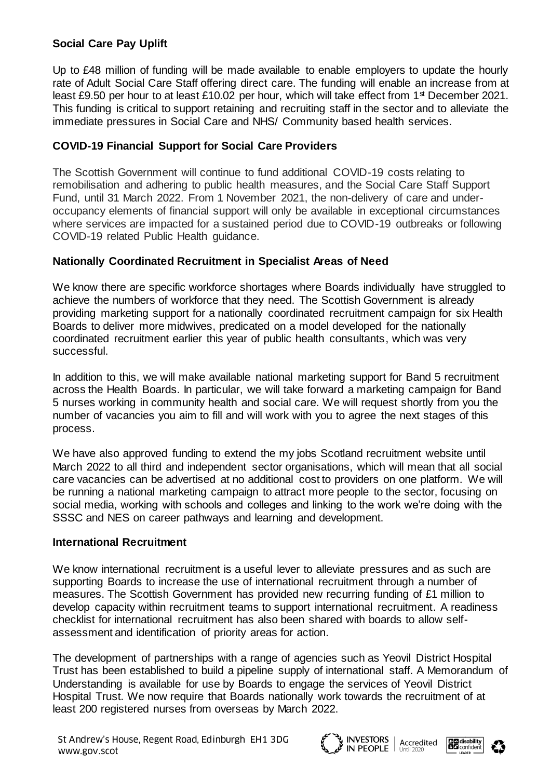### **Social Care Pay Uplift**

Up to £48 million of funding will be made available to enable employers to update the hourly rate of Adult Social Care Staff offering direct care. The funding will enable an increase from at least £9.50 per hour to at least £10.02 per hour, which will take effect from 1<sup>st</sup> December 2021. This funding is critical to support retaining and recruiting staff in the sector and to alleviate the immediate pressures in Social Care and NHS/ Community based health services.

#### **COVID-19 Financial Support for Social Care Providers**

The Scottish Government will continue to fund additional COVID-19 costs relating to remobilisation and adhering to public health measures, and the Social Care Staff Support Fund, until 31 March 2022. From 1 November 2021, the non-delivery of care and underoccupancy elements of financial support will only be available in exceptional circumstances where services are impacted for a sustained period due to COVID-19 outbreaks or following COVID-19 related Public Health guidance.

#### **Nationally Coordinated Recruitment in Specialist Areas of Need**

We know there are specific workforce shortages where Boards individually have struggled to achieve the numbers of workforce that they need. The Scottish Government is already providing marketing support for a nationally coordinated recruitment campaign for six Health Boards to deliver more midwives, predicated on a model developed for the nationally coordinated recruitment earlier this year of public health consultants, which was very successful.

In addition to this, we will make available national marketing support for Band 5 recruitment across the Health Boards. In particular, we will take forward a marketing campaign for Band 5 nurses working in community health and social care. We will request shortly from you the number of vacancies you aim to fill and will work with you to agree the next stages of this process.

We have also approved funding to extend the my jobs Scotland recruitment website until March 2022 to all third and independent sector organisations, which will mean that all social care vacancies can be advertised at no additional cost to providers on one platform. We will be running a national marketing campaign to attract more people to the sector, focusing on social media, working with schools and colleges and linking to the work we're doing with the SSSC and NES on career pathways and learning and development.

#### **International Recruitment**

We know international recruitment is a useful lever to alleviate pressures and as such are supporting Boards to increase the use of international recruitment through a number of measures. The Scottish Government has provided new recurring funding of £1 million to develop capacity within recruitment teams to support international recruitment. A readiness checklist for international recruitment has also been shared with boards to allow selfassessment and identification of priority areas for action.

The development of partnerships with a range of agencies such as Yeovil District Hospital Trust has been established to build a pipeline supply of international staff. A Memorandum of Understanding is available for use by Boards to engage the services of Yeovil District Hospital Trust. We now require that Boards nationally work towards the recruitment of at least 200 registered nurses from overseas by March 2022.





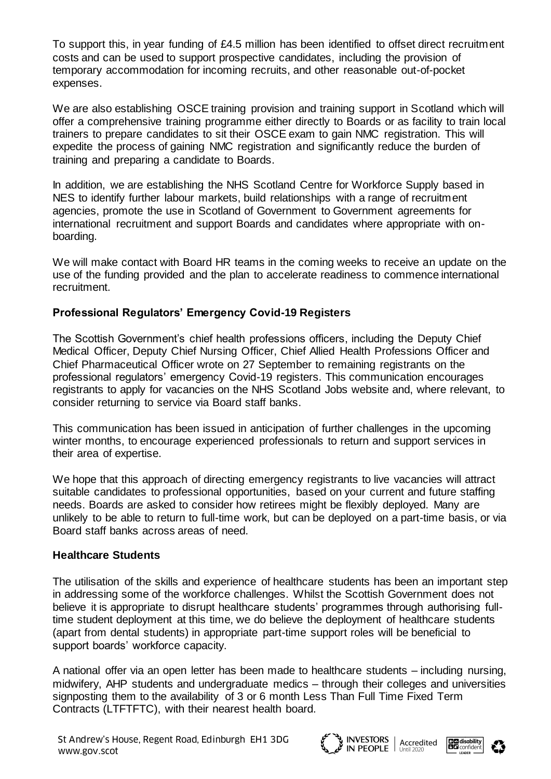To support this, in year funding of £4.5 million has been identified to offset direct recruitment costs and can be used to support prospective candidates, including the provision of temporary accommodation for incoming recruits, and other reasonable out-of-pocket expenses.

We are also establishing OSCE training provision and training support in Scotland which will offer a comprehensive training programme either directly to Boards or as facility to train local trainers to prepare candidates to sit their OSCE exam to gain NMC registration. This will expedite the process of gaining NMC registration and significantly reduce the burden of training and preparing a candidate to Boards.

In addition, we are establishing the NHS Scotland Centre for Workforce Supply based in NES to identify further labour markets, build relationships with a range of recruitment agencies, promote the use in Scotland of Government to Government agreements for international recruitment and support Boards and candidates where appropriate with onboarding.

We will make contact with Board HR teams in the coming weeks to receive an update on the use of the funding provided and the plan to accelerate readiness to commence international recruitment.

#### **Professional Regulators' Emergency Covid-19 Registers**

The Scottish Government's chief health professions officers, including the Deputy Chief Medical Officer, Deputy Chief Nursing Officer, Chief Allied Health Professions Officer and Chief Pharmaceutical Officer wrote on 27 September to remaining registrants on the professional regulators' emergency Covid-19 registers. This communication encourages registrants to apply for vacancies on the NHS Scotland Jobs website and, where relevant, to consider returning to service via Board staff banks.

This communication has been issued in anticipation of further challenges in the upcoming winter months, to encourage experienced professionals to return and support services in their area of expertise.

We hope that this approach of directing emergency registrants to live vacancies will attract suitable candidates to professional opportunities, based on your current and future staffing needs. Boards are asked to consider how retirees might be flexibly deployed. Many are unlikely to be able to return to full-time work, but can be deployed on a part-time basis, or via Board staff banks across areas of need.

#### **Healthcare Students**

The utilisation of the skills and experience of healthcare students has been an important step in addressing some of the workforce challenges. Whilst the Scottish Government does not believe it is appropriate to disrupt healthcare students' programmes through authorising fulltime student deployment at this time, we do believe the deployment of healthcare students (apart from dental students) in appropriate part-time support roles will be beneficial to support boards' workforce capacity.

A national offer via an open letter has been made to healthcare students – including nursing, midwifery, AHP students and undergraduate medics – through their colleges and universities signposting them to the availability of 3 or 6 month Less Than Full Time Fixed Term Contracts (LTFTFTC), with their nearest health board.





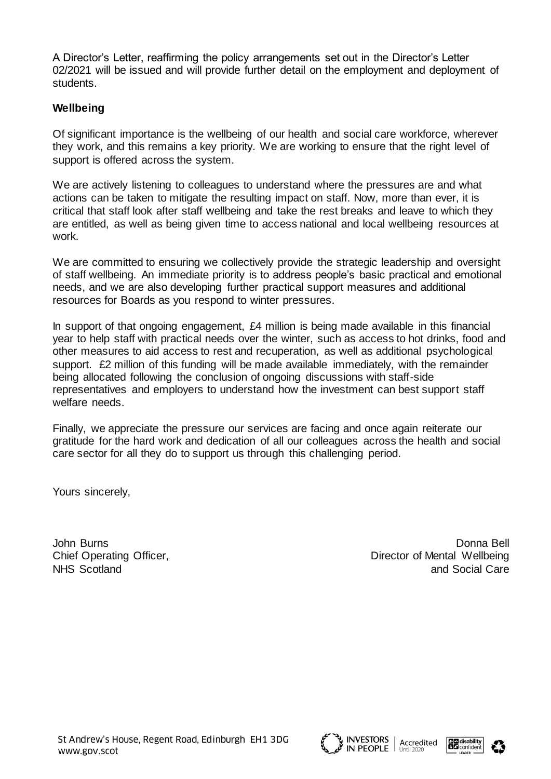A Director's Letter, reaffirming the policy arrangements set out in the Director's Letter 02/2021 will be issued and will provide further detail on the employment and deployment of students.

#### **Wellbeing**

Of significant importance is the wellbeing of our health and social care workforce, wherever they work, and this remains a key priority. We are working to ensure that the right level of support is offered across the system.

We are actively listening to colleagues to understand where the pressures are and what actions can be taken to mitigate the resulting impact on staff. Now, more than ever, it is critical that staff look after staff wellbeing and take the rest breaks and leave to which they are entitled, as well as being given time to access national and local wellbeing resources at work.

We are committed to ensuring we collectively provide the strategic leadership and oversight of staff wellbeing. An immediate priority is to address people's basic practical and emotional needs, and we are also developing further practical support measures and additional resources for Boards as you respond to winter pressures.

In support of that ongoing engagement, £4 million is being made available in this financial year to help staff with practical needs over the winter, such as access to hot drinks, food and other measures to aid access to rest and recuperation, as well as additional psychological support. £2 million of this funding will be made available immediately, with the remainder being allocated following the conclusion of ongoing discussions with staff-side representatives and employers to understand how the investment can best support staff welfare needs.

Finally, we appreciate the pressure our services are facing and once again reiterate our gratitude for the hard work and dedication of all our colleagues across the health and social care sector for all they do to support us through this challenging period.

Yours sincerely,

John Burns Donna Bell Chief Operating Officer, **Director of Mental Wellbeing** NHS Scotland and Social Care and Social Care and Social Care and Social Care and Social Care and Social Care and Social Care and Social Care and Social Care and Social Care and Social Care and Social Care and Social Care a